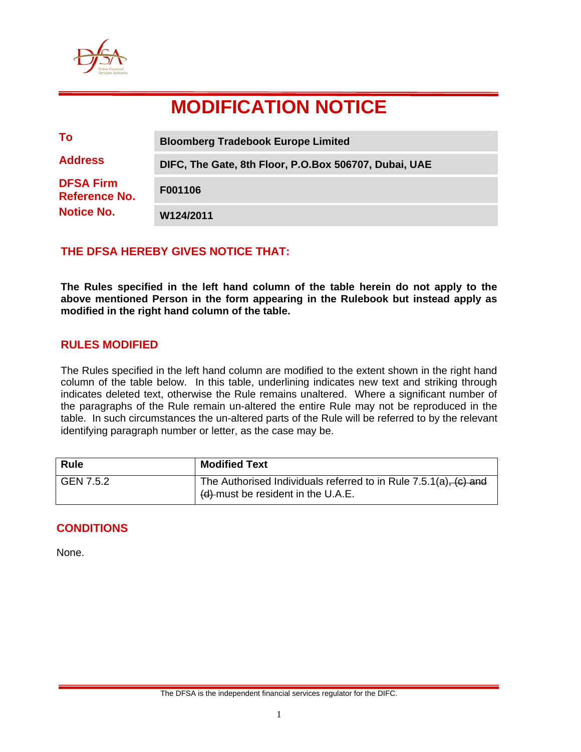

# **MODIFICATION NOTICE**

| To                                | <b>Bloomberg Tradebook Europe Limited</b>             |
|-----------------------------------|-------------------------------------------------------|
| <b>Address</b>                    | DIFC, The Gate, 8th Floor, P.O.Box 506707, Dubai, UAE |
| <b>DFSA Firm</b><br>Reference No. | F001106                                               |
| <b>Notice No.</b>                 | W124/2011                                             |

## **THE DFSA HEREBY GIVES NOTICE THAT:**

**The Rules specified in the left hand column of the table herein do not apply to the above mentioned Person in the form appearing in the Rulebook but instead apply as modified in the right hand column of the table.** 

## **RULES MODIFIED**

The Rules specified in the left hand column are modified to the extent shown in the right hand column of the table below. In this table, underlining indicates new text and striking through indicates deleted text, otherwise the Rule remains unaltered. Where a significant number of the paragraphs of the Rule remain un-altered the entire Rule may not be reproduced in the table. In such circumstances the un-altered parts of the Rule will be referred to by the relevant identifying paragraph number or letter, as the case may be.

| <b>Rule</b> | <b>Modified Text</b>                                                                                                                |
|-------------|-------------------------------------------------------------------------------------------------------------------------------------|
| GEN 7.5.2   | The Authorised Individuals referred to in Rule $7.5.1(a)$ , $(c)$ and<br>$\left(\frac{d}{dx}\right)$ must be resident in the U.A.E. |

## **CONDITIONS**

None.